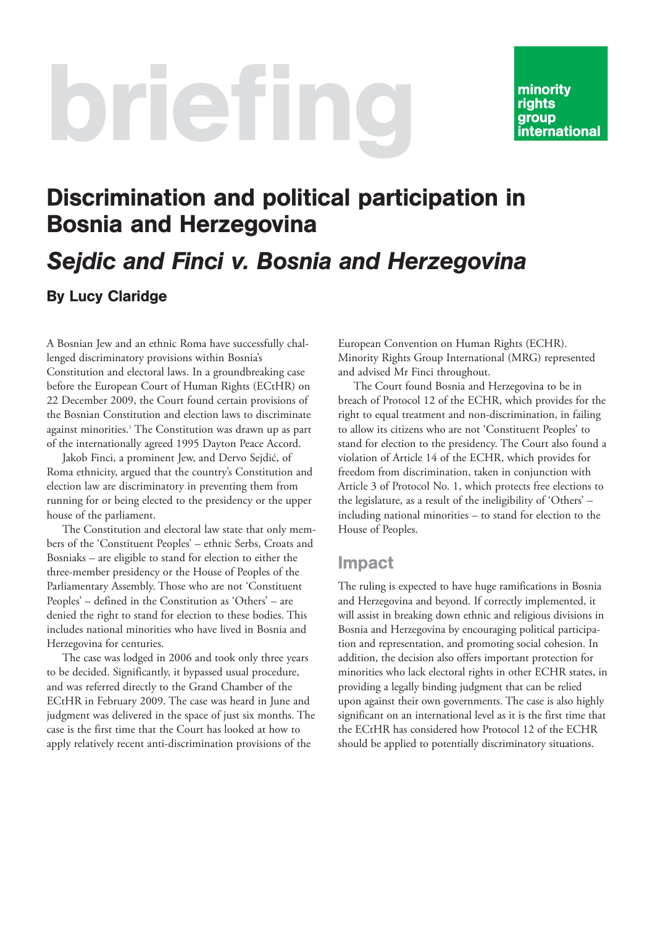# briefing

# Discrimination and political participation in Bosnia and Herzegovina *Sejdic and Finci v. Bosnia and Herzegovina*

#### By Lucy Claridge

A Bosnian Jew and an ethnic Roma have successfully challenged discriminatory provisions within Bosnia's Constitution and electoral laws. In a groundbreaking case before the European Court of Human Rights (ECtHR) on 22 December 2009, the Court found certain provisions of the Bosnian Constitution and election laws to discriminate against minorities.<sup>1</sup> The Constitution was drawn up as part of the internationally agreed 1995 Dayton Peace Accord.

Jakob Finci, a prominent Jew, and Dervo Sejdić, of Roma ethnicity, argued that the country's Constitution and election law are discriminatory in preventing them from running for or being elected to the presidency or the upper house of the parliament.

The Constitution and electoral law state that only members of the 'Constituent Peoples' – ethnic Serbs, Croats and Bosniaks – are eligible to stand for election to either the three-member presidency or the House of Peoples of the Parliamentary Assembly. Those who are not 'Constituent Peoples' – defined in the Constitution as 'Others' – are denied the right to stand for election to these bodies. This includes national minorities who have lived in Bosnia and Herzegovina for centuries.

The case was lodged in 2006 and took only three years to be decided. Significantly, it bypassed usual procedure, and was referred directly to the Grand Chamber of the ECtHR in February 2009. The case was heard in June and judgment was delivered in the space of just six months. The case is the first time that the Court has looked at how to apply relatively recent anti-discrimination provisions of the

European Convention on Human Rights (ECHR). Minority Rights Group International (MRG) represented and advised Mr Finci throughout.

The Court found Bosnia and Herzegovina to be in breach of Protocol 12 of the ECHR, which provides for the right to equal treatment and non-discrimination, in failing to allow its citizens who are not 'Constituent Peoples' to stand for election to the presidency. The Court also found a violation of Article 14 of the ECHR, which provides for freedom from discrimination, taken in conjunction with Article 3 of Protocol No. 1, which protects free elections to the legislature, as a result of the ineligibility of 'Others' – including national minorities – to stand for election to the House of Peoples.

#### Impact

The ruling is expected to have huge ramifications in Bosnia and Herzegovina and beyond. If correctly implemented, it will assist in breaking down ethnic and religious divisions in Bosnia and Herzegovina by encouraging political participation and representation, and promoting social cohesion. In addition, the decision also offers important protection for minorities who lack electoral rights in other ECHR states, in providing a legally binding judgment that can be relied upon against their own governments. The case is also highly significant on an international level as it is the first time that the ECtHR has considered how Protocol 12 of the ECHR should be applied to potentially discriminatory situations.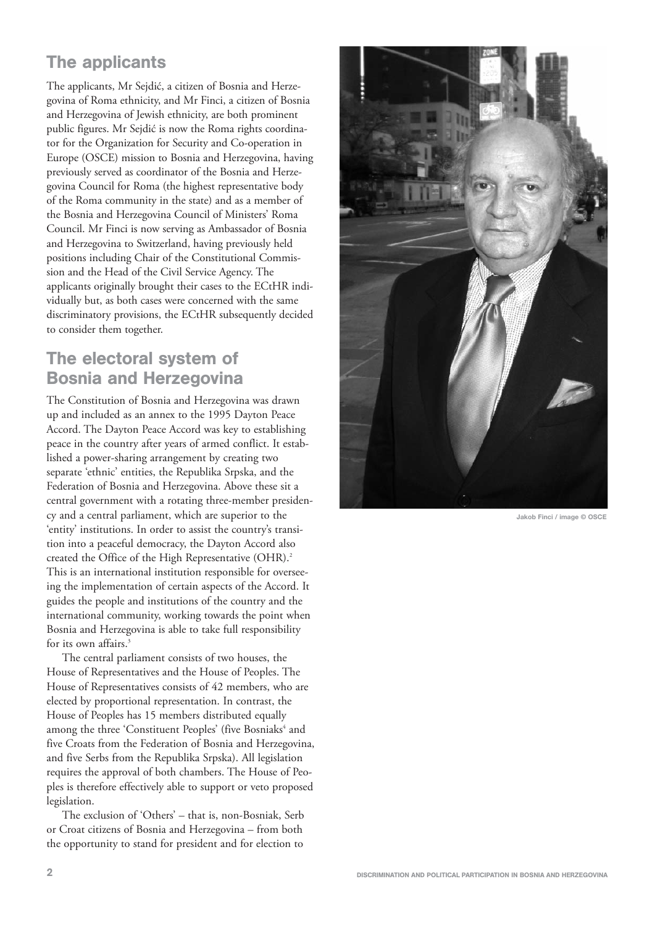### The applicants

The applicants, Mr Sejdić, a citizen of Bosnia and Herzegovina of Roma ethnicity, and Mr Finci, a citizen of Bosnia and Herzegovina of Jewish ethnicity, are both prominent public figures. Mr Sejdić is now the Roma rights coordinator for the Organization for Security and Co-operation in Europe (OSCE) mission to Bosnia and Herzegovina, having previously served as coordinator of the Bosnia and Herzegovina Council for Roma (the highest representative body of the Roma community in the state) and as a member of the Bosnia and Herzegovina Council of Ministers' Roma Council. Mr Finci is now serving as Ambassador of Bosnia and Herzegovina to Switzerland, having previously held positions including Chair of the Constitutional Commission and the Head of the Civil Service Agency. The applicants originally brought their cases to the ECtHR individually but, as both cases were concerned with the same discriminatory provisions, the ECtHR subsequently decided to consider them together.

#### The electoral system of Bosnia and Herzegovina

The Constitution of Bosnia and Herzegovina was drawn up and included as an annex to the 1995 Dayton Peace Accord. The Dayton Peace Accord was key to establishing peace in the country after years of armed conflict. It established a power-sharing arrangement by creating two separate 'ethnic' entities, the Republika Srpska, and the Federation of Bosnia and Herzegovina. Above these sit a central government with a rotating three-member presidency and a central parliament, which are superior to the 'entity' institutions. In order to assist the country's transition into a peaceful democracy, the Dayton Accord also created the Office of the High Representative (OHR).<sup>2</sup> This is an international institution responsible for overseeing the implementation of certain aspects of the Accord. It guides the people and institutions of the country and the international community, working towards the point when Bosnia and Herzegovina is able to take full responsibility for its own affairs.<sup>3</sup>

The central parliament consists of two houses, the House of Representatives and the House of Peoples. The House of Representatives consists of 42 members, who are elected by proportional representation. In contrast, the House of Peoples has 15 members distributed equally among the three 'Constituent Peoples' (five Bosniaks<sup>4</sup> and five Croats from the Federation of Bosnia and Herzegovina, and five Serbs from the Republika Srpska). All legislation requires the approval of both chambers. The House of Peoples is therefore effectively able to support or veto proposed legislation.

The exclusion of 'Others' – that is, non-Bosniak, Serb or Croat citizens of Bosnia and Herzegovina – from both the opportunity to stand for president and for election to



**Jakob Finci / image © OSCE**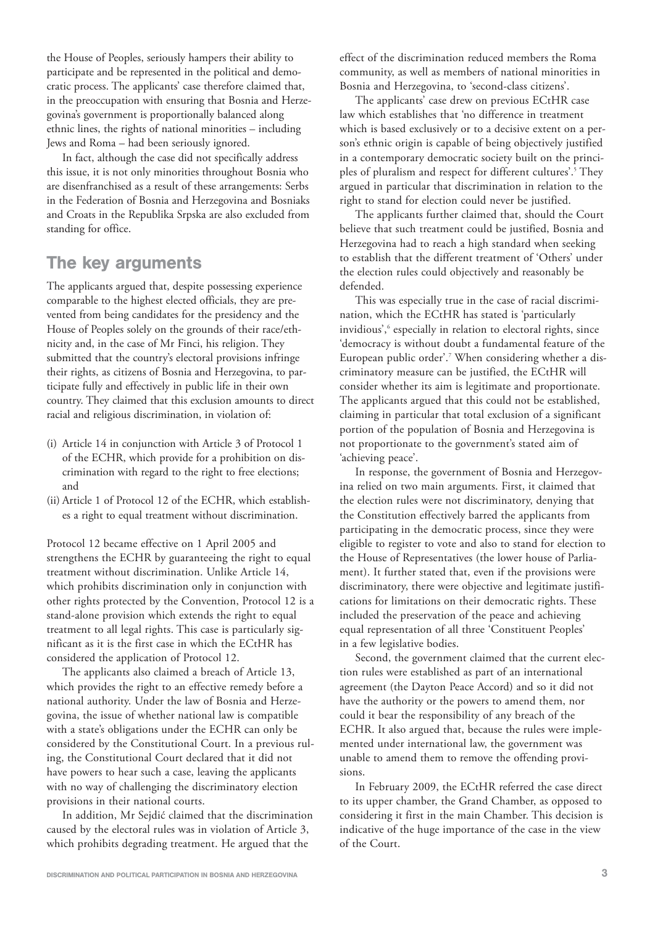the House of Peoples, seriously hampers their ability to participate and be represented in the political and democratic process. The applicants' case therefore claimed that, in the preoccupation with ensuring that Bosnia and Herzegovina's government is proportionally balanced along ethnic lines, the rights of national minorities – including Jews and Roma – had been seriously ignored.

In fact, although the case did not specifically address this issue, it is not only minorities throughout Bosnia who are disenfranchised as a result of these arrangements: Serbs in the Federation of Bosnia and Herzegovina and Bosniaks and Croats in the Republika Srpska are also excluded from standing for office.

#### The key arguments

The applicants argued that, despite possessing experience comparable to the highest elected officials, they are prevented from being candidates for the presidency and the House of Peoples solely on the grounds of their race/ethnicity and, in the case of Mr Finci, his religion. They submitted that the country's electoral provisions infringe their rights, as citizens of Bosnia and Herzegovina, to participate fully and effectively in public life in their own country. They claimed that this exclusion amounts to direct racial and religious discrimination, in violation of:

- (i) Article 14 in conjunction with Article 3 of Protocol 1 of the ECHR, which provide for a prohibition on discrimination with regard to the right to free elections; and
- (ii) Article 1 of Protocol 12 of the ECHR, which establishes a right to equal treatment without discrimination.

Protocol 12 became effective on 1 April 2005 and strengthens the ECHR by guaranteeing the right to equal treatment without discrimination. Unlike Article 14, which prohibits discrimination only in conjunction with other rights protected by the Convention, Protocol 12 is a stand-alone provision which extends the right to equal treatment to all legal rights. This case is particularly significant as it is the first case in which the ECtHR has considered the application of Protocol 12.

The applicants also claimed a breach of Article 13, which provides the right to an effective remedy before a national authority. Under the law of Bosnia and Herzegovina, the issue of whether national law is compatible with a state's obligations under the ECHR can only be considered by the Constitutional Court. In a previous ruling, the Constitutional Court declared that it did not have powers to hear such a case, leaving the applicants with no way of challenging the discriminatory election provisions in their national courts.

In addition, Mr Sejdić claimed that the discrimination caused by the electoral rules was in violation of Article 3, which prohibits degrading treatment. He argued that the

effect of the discrimination reduced members the Roma community, as well as members of national minorities in Bosnia and Herzegovina, to 'second-class citizens'.

The applicants' case drew on previous ECtHR case law which establishes that 'no difference in treatment which is based exclusively or to a decisive extent on a person's ethnic origin is capable of being objectively justified in a contemporary democratic society built on the principles of pluralism and respect for different cultures'.<sup>5</sup> They argued in particular that discrimination in relation to the right to stand for election could never be justified.

The applicants further claimed that, should the Court believe that such treatment could be justified, Bosnia and Herzegovina had to reach a high standard when seeking to establish that the different treatment of 'Others' under the election rules could objectively and reasonably be defended.

This was especially true in the case of racial discrimination, which the ECtHR has stated is 'particularly invidious',<sup>6</sup> especially in relation to electoral rights, since 'democracy is without doubt a fundamental feature of the European public order'.7 When considering whether a discriminatory measure can be justified, the ECtHR will consider whether its aim is legitimate and proportionate. The applicants argued that this could not be established, claiming in particular that total exclusion of a significant portion of the population of Bosnia and Herzegovina is not proportionate to the government's stated aim of 'achieving peace'.

In response, the government of Bosnia and Herzegovina relied on two main arguments. First, it claimed that the election rules were not discriminatory, denying that the Constitution effectively barred the applicants from participating in the democratic process, since they were eligible to register to vote and also to stand for election to the House of Representatives (the lower house of Parliament). It further stated that, even if the provisions were discriminatory, there were objective and legitimate justifications for limitations on their democratic rights. These included the preservation of the peace and achieving equal representation of all three 'Constituent Peoples' in a few legislative bodies.

Second, the government claimed that the current election rules were established as part of an international agreement (the Dayton Peace Accord) and so it did not have the authority or the powers to amend them, nor could it bear the responsibility of any breach of the ECHR. It also argued that, because the rules were implemented under international law, the government was unable to amend them to remove the offending provisions.

In February 2009, the ECtHR referred the case direct to its upper chamber, the Grand Chamber, as opposed to considering it first in the main Chamber. This decision is indicative of the huge importance of the case in the view of the Court.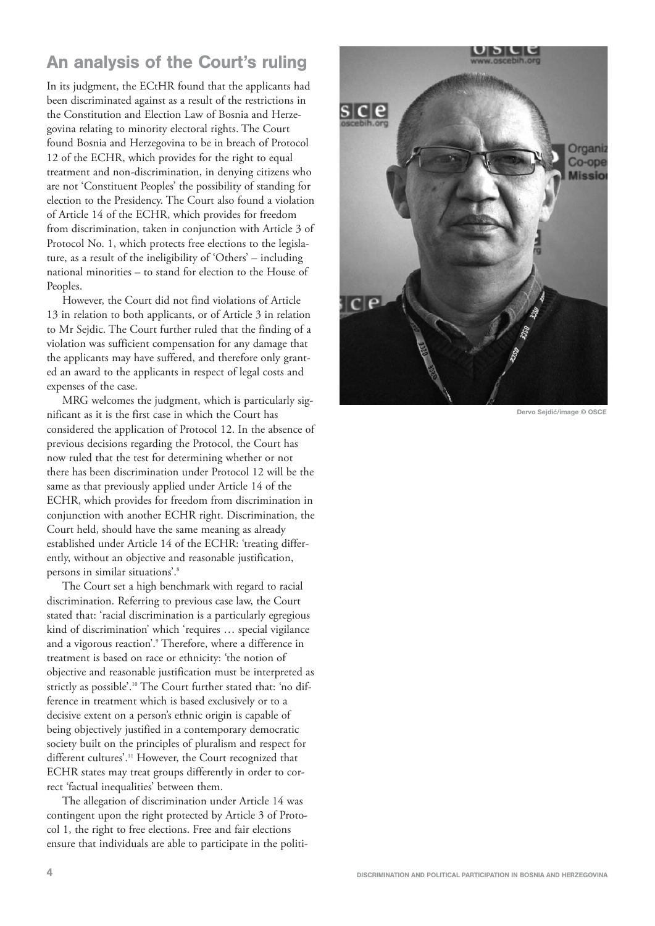#### An analysis of the Court's ruling

In its judgment, the ECtHR found that the applicants had been discriminated against as a result of the restrictions in the Constitution and Election Law of Bosnia and Herzegovina relating to minority electoral rights. The Court found Bosnia and Herzegovina to be in breach of Protocol 12 of the ECHR, which provides for the right to equal treatment and non-discrimination, in denying citizens who are not 'Constituent Peoples' the possibility of standing for election to the Presidency. The Court also found a violation of Article 14 of the ECHR, which provides for freedom from discrimination, taken in conjunction with Article 3 of Protocol No. 1, which protects free elections to the legislature, as a result of the ineligibility of 'Others' – including national minorities – to stand for election to the House of Peoples.

However, the Court did not find violations of Article 13 in relation to both applicants, or of Article 3 in relation to Mr Sejdic. The Court further ruled that the finding of a violation was sufficient compensation for any damage that the applicants may have suffered, and therefore only granted an award to the applicants in respect of legal costs and expenses of the case.

MRG welcomes the judgment, which is particularly significant as it is the first case in which the Court has considered the application of Protocol 12. In the absence of previous decisions regarding the Protocol, the Court has now ruled that the test for determining whether or not there has been discrimination under Protocol 12 will be the same as that previously applied under Article 14 of the ECHR, which provides for freedom from discrimination in conjunction with another ECHR right. Discrimination, the Court held, should have the same meaning as already established under Article 14 of the ECHR: 'treating differently, without an objective and reasonable justification, persons in similar situations'.<sup>8</sup>

The Court set a high benchmark with regard to racial discrimination. Referring to previous case law, the Court stated that: 'racial discrimination is a particularly egregious kind of discrimination' which 'requires … special vigilance and a vigorous reaction'.<sup>9</sup> Therefore, where a difference in treatment is based on race or ethnicity: 'the notion of objective and reasonable justification must be interpreted as strictly as possible'.10 The Court further stated that: 'no difference in treatment which is based exclusively or to a decisive extent on a person's ethnic origin is capable of being objectively justified in a contemporary democratic society built on the principles of pluralism and respect for different cultures'.11 However, the Court recognized that ECHR states may treat groups differently in order to correct 'factual inequalities' between them.

The allegation of discrimination under Article 14 was contingent upon the right protected by Article 3 of Protocol 1, the right to free elections. Free and fair elections ensure that individuals are able to participate in the politi-



**Dervo Sejdić/image © OSCE**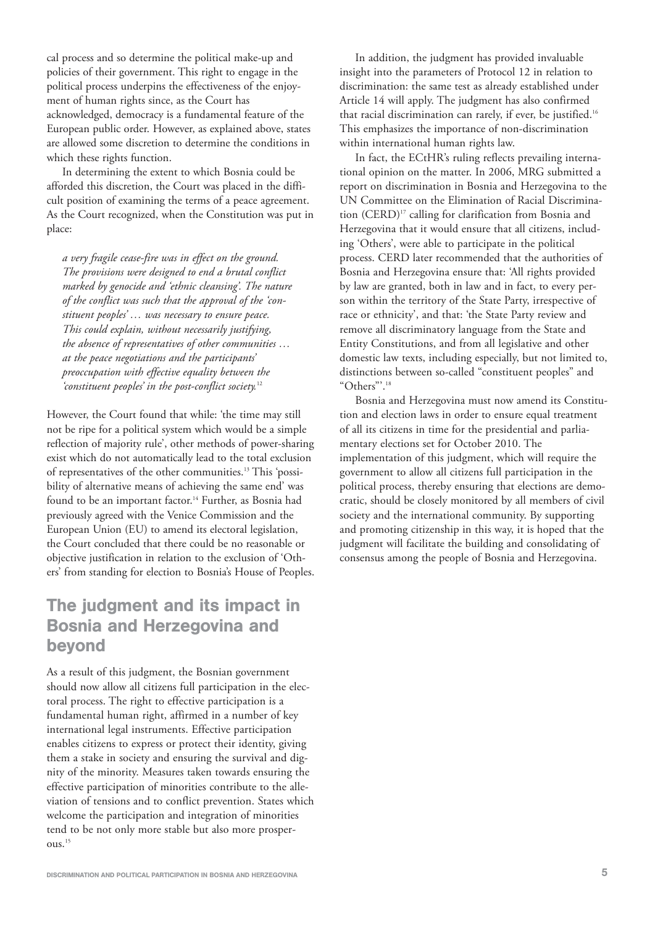cal process and so determine the political make-up and policies of their government. This right to engage in the political process underpins the effectiveness of the enjoyment of human rights since, as the Court has acknowledged, democracy is a fundamental feature of the European public order. However, as explained above, states are allowed some discretion to determine the conditions in which these rights function.

In determining the extent to which Bosnia could be afforded this discretion, the Court was placed in the difficult position of examining the terms of a peace agreement. As the Court recognized, when the Constitution was put in place:

*a very fragile cease-fire was in effect on the ground. The provisions were designed to end a brutal conflict marked by genocide and 'ethnic cleansing'. The nature of the conflict was such that the approval of the 'constituent peoples' … was necessary to ensure peace. This could explain, without necessarily justifying, the absence of representatives of other communities … at the peace negotiations and the participants' preoccupation with effective equality between the 'constituent peoples' in the post-conflict society.*<sup>12</sup>

However, the Court found that while: 'the time may still not be ripe for a political system which would be a simple reflection of majority rule', other methods of power-sharing exist which do not automatically lead to the total exclusion of representatives of the other communities.13 This 'possibility of alternative means of achieving the same end' was found to be an important factor.<sup>14</sup> Further, as Bosnia had previously agreed with the Venice Commission and the European Union (EU) to amend its electoral legislation, the Court concluded that there could be no reasonable or objective justification in relation to the exclusion of 'Others' from standing for election to Bosnia's House of Peoples.

#### The judgment and its impact in Bosnia and Herzegovina and beyond

As a result of this judgment, the Bosnian government should now allow all citizens full participation in the electoral process. The right to effective participation is a fundamental human right, affirmed in a number of key international legal instruments. Effective participation enables citizens to express or protect their identity, giving them a stake in society and ensuring the survival and dignity of the minority. Measures taken towards ensuring the effective participation of minorities contribute to the alleviation of tensions and to conflict prevention. States which welcome the participation and integration of minorities tend to be not only more stable but also more prosperous.15

In addition, the judgment has provided invaluable insight into the parameters of Protocol 12 in relation to discrimination: the same test as already established under Article 14 will apply. The judgment has also confirmed that racial discrimination can rarely, if ever, be justified.16 This emphasizes the importance of non-discrimination within international human rights law.

In fact, the ECtHR's ruling reflects prevailing international opinion on the matter. In 2006, MRG submitted a report on discrimination in Bosnia and Herzegovina to the UN Committee on the Elimination of Racial Discrimination (CERD)<sup>17</sup> calling for clarification from Bosnia and Herzegovina that it would ensure that all citizens, including 'Others', were able to participate in the political process. CERD later recommended that the authorities of Bosnia and Herzegovina ensure that: 'All rights provided by law are granted, both in law and in fact, to every person within the territory of the State Party, irrespective of race or ethnicity', and that: 'the State Party review and remove all discriminatory language from the State and Entity Constitutions, and from all legislative and other domestic law texts, including especially, but not limited to, distinctions between so-called "constituent peoples" and "Others"'.18

Bosnia and Herzegovina must now amend its Constitution and election laws in order to ensure equal treatment of all its citizens in time for the presidential and parliamentary elections set for October 2010. The implementation of this judgment, which will require the government to allow all citizens full participation in the political process, thereby ensuring that elections are democratic, should be closely monitored by all members of civil society and the international community. By supporting and promoting citizenship in this way, it is hoped that the judgment will facilitate the building and consolidating of consensus among the people of Bosnia and Herzegovina.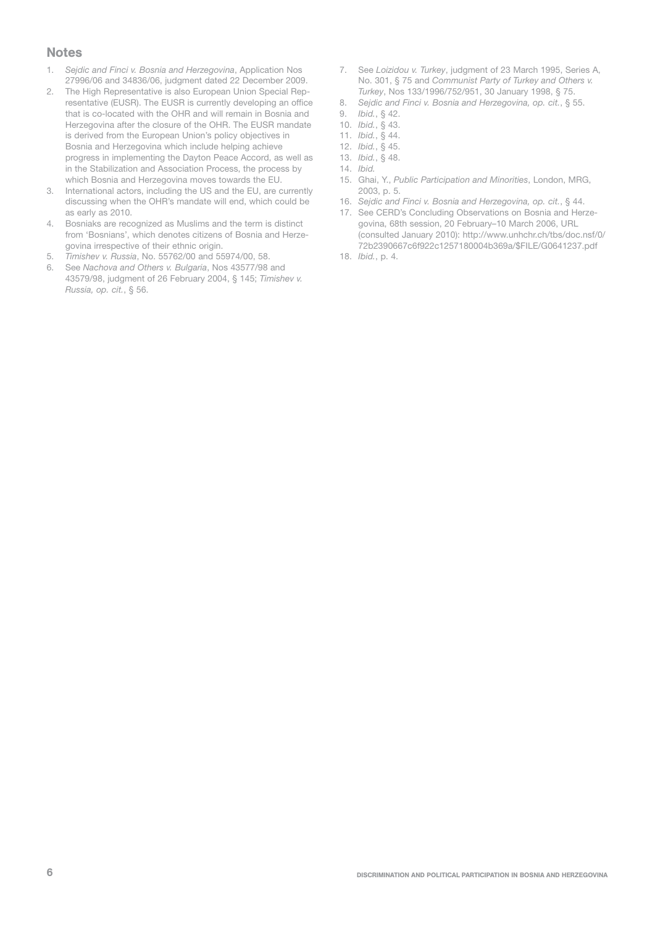#### **Notes**

- 1. Seidic and Finci v. Bosnia and Herzegovina, Application Nos 27996/06 and 34836/06, judgment dated 22 December 2009.
- 2. The High Representative is also European Union Special Representative (EUSR). The EUSR is currently developing an office that is co-located with the OHR and will remain in Bosnia and Herzegovina after the closure of the OHR. The EUSR mandate is derived from the European Union's policy objectives in Bosnia and Herzegovina which include helping achieve progress in implementing the Dayton Peace Accord, as well as in the Stabilization and Association Process, the process by which Bosnia and Herzegovina moves towards the EU.
- 3. International actors, including the US and the EU, are currently discussing when the OHR's mandate will end, which could be as early as 2010.
- 4. Bosniaks are recognized as Muslims and the term is distinct from 'Bosnians', which denotes citizens of Bosnia and Herzegovina irrespective of their ethnic origin.
- 5. Timishev v. Russia, No. 55762/00 and 55974/00, 58.
- 6. See Nachova and Others v. Bulgaria, Nos 43577/98 and 43579/98, judgment of 26 February 2004, § 145; Timishev v. Russia, op. cit., § 56.
- 7. See Loizidou v. Turkey, judgment of 23 March 1995, Series A, No. 301, § 75 and Communist Party of Turkey and Others v. Turkey, Nos 133/1996/752/951, 30 January 1998, § 75.
- 8. Sejdic and Finci v. Bosnia and Herzegovina, op. cit., § 55.
- 9. Ibid., § 42.
- 10. Ibid., § 43.
- 11. Ibid., § 44.
- 12. Ibid., § 45.
- 13. Ibid., § 48.
- 14. Ibid.
- 15. Ghai, Y., Public Participation and Minorities, London, MRG, 2003, p. 5.
- 16. Sejdic and Finci v. Bosnia and Herzegovina, op. cit., § 44.
- 17. See CERD's Concluding Observations on Bosnia and Herzegovina, 68th session, 20 February–10 March 2006, URL (consulted January 2010): http://www.unhchr.ch/tbs/doc.nsf/0/ 72b2390667c6f922c1257180004b369a/\$FILE/G0641237.pdf
- 18. Ibid., p. 4.